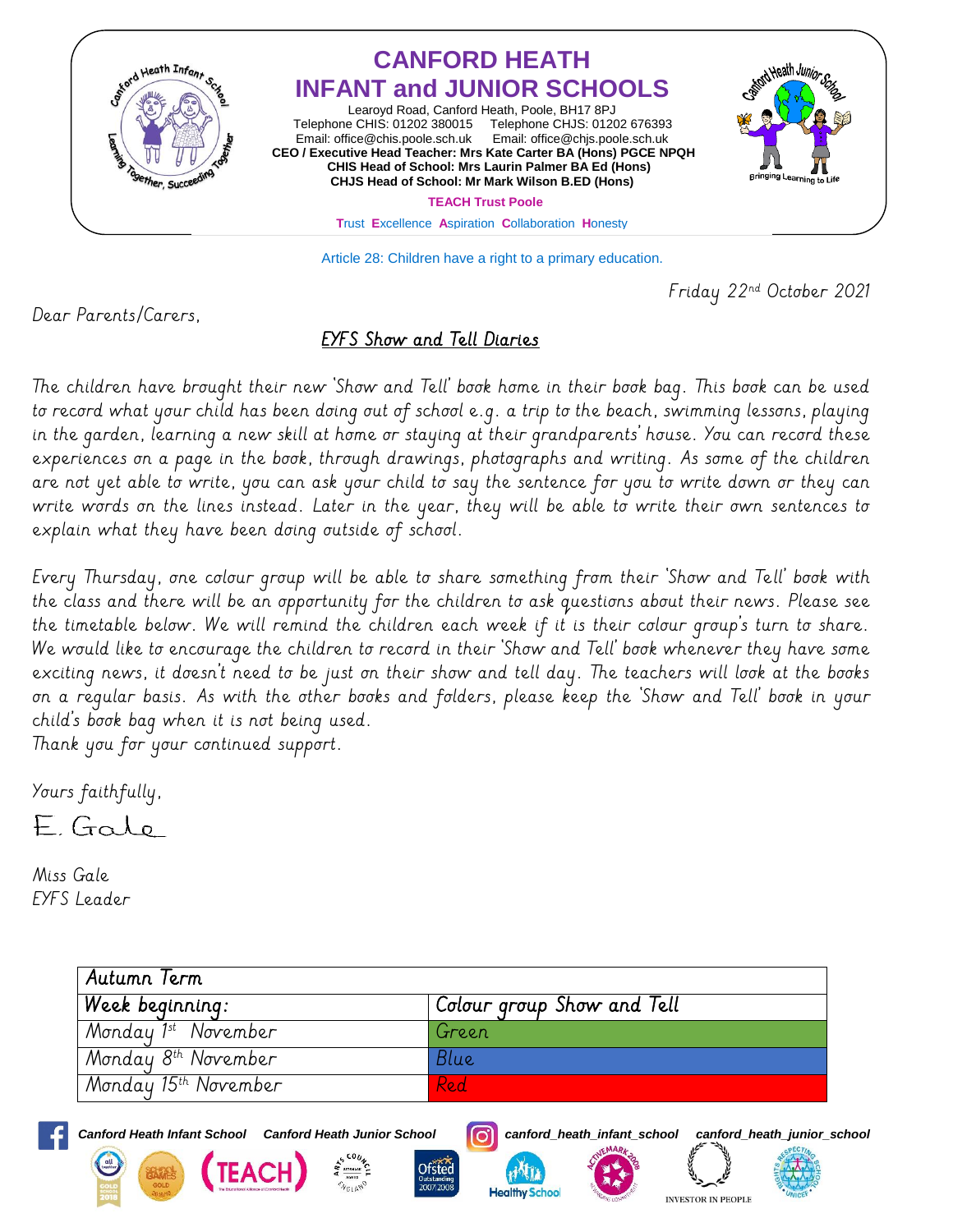

Article 28: Children have a right to a primary education.

Friday 22nd October 2021

Dear Parents/Carers,

## EYFS Show and Tell Diaries

The children have brought their new 'Show and Tell' book home in their book bag. This book can be used to record what your child has been doing out of school e.g. a trip to the beach, swimming lessons, playing in the garden, learning a new skill at home or staying at their grandparents' house. You can record these experiences on a page in the book, through drawings, photographs and writing. As some of the children are not yet able to write, you can ask your child to say the sentence for you to write down or they can write words on the lines instead. Later in the year, they will be able to write their own sentences to explain what they have been doing outside of school.

Every Thursday, one colour group will be able to share something from their 'Show and Tell' book with the class and there will be an opportunity for the children to ask questions about their news. Please see the timetable below. We will remind the children each week if it is their colour group's turn to share. We would like to encourage the children to record in their 'Show and Tell' book whenever they have some exciting news, it doesn't need to be just on their show and tell day. The teachers will look at the books on a regular basis. As with the other books and folders, please keep the 'Show and Tell' book in your child's book bag when it is not being used.

Thank you for your continued support.

Yours faithfully,

EGalo

Miss Gale EYFS Leader

| Autumn Term                      |                            |
|----------------------------------|----------------------------|
| Week beginning:                  | Colour group Show and Tell |
| Monday 1st November              | Green                      |
| Monday 8 <sup>th</sup> November  | Blue                       |
| Monday 15 <sup>th</sup> November | Red.                       |



*Canford Heath Infant School Canford Heath Junior School canford\_heath\_infant\_school canford\_heath\_junior\_school*